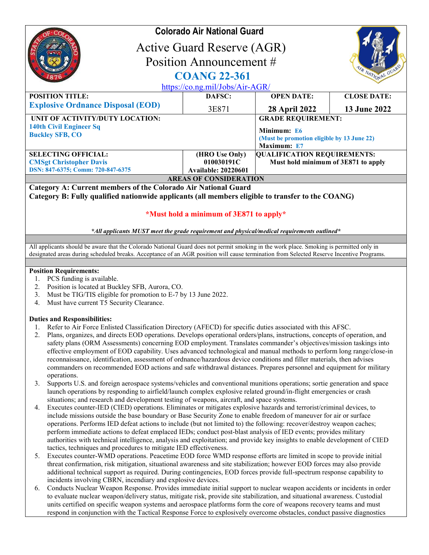| <b>Colorado Air National Guard</b>                                                                                                                                                                                                                                                                                                                                                                                                                                                                                                                                                                                                                                                                                                                                                       |                                                             |                                                                          |                    |  |
|------------------------------------------------------------------------------------------------------------------------------------------------------------------------------------------------------------------------------------------------------------------------------------------------------------------------------------------------------------------------------------------------------------------------------------------------------------------------------------------------------------------------------------------------------------------------------------------------------------------------------------------------------------------------------------------------------------------------------------------------------------------------------------------|-------------------------------------------------------------|--------------------------------------------------------------------------|--------------------|--|
| <b>Active Guard Reserve (AGR)</b>                                                                                                                                                                                                                                                                                                                                                                                                                                                                                                                                                                                                                                                                                                                                                        |                                                             |                                                                          |                    |  |
| Position Announcement #                                                                                                                                                                                                                                                                                                                                                                                                                                                                                                                                                                                                                                                                                                                                                                  |                                                             |                                                                          |                    |  |
|                                                                                                                                                                                                                                                                                                                                                                                                                                                                                                                                                                                                                                                                                                                                                                                          |                                                             |                                                                          | R NATIONAL         |  |
| <b>COANG 22-361</b>                                                                                                                                                                                                                                                                                                                                                                                                                                                                                                                                                                                                                                                                                                                                                                      |                                                             |                                                                          |                    |  |
| <b>POSITION TITLE:</b>                                                                                                                                                                                                                                                                                                                                                                                                                                                                                                                                                                                                                                                                                                                                                                   | https://co.ng.mil/Jobs/Air-AGR/<br>DAFSC:                   | <b>OPEN DATE:</b>                                                        | <b>CLOSE DATE:</b> |  |
| <b>Explosive Ordnance Disposal (EOD)</b>                                                                                                                                                                                                                                                                                                                                                                                                                                                                                                                                                                                                                                                                                                                                                 |                                                             |                                                                          |                    |  |
|                                                                                                                                                                                                                                                                                                                                                                                                                                                                                                                                                                                                                                                                                                                                                                                          | 3E871                                                       | <b>28 April 2022</b>                                                     | 13 June 2022       |  |
| UNIT OF ACTIVITY/DUTY LOCATION:                                                                                                                                                                                                                                                                                                                                                                                                                                                                                                                                                                                                                                                                                                                                                          |                                                             | <b>GRADE REQUIREMENT:</b>                                                |                    |  |
| <b>140th Civil Engineer Sq</b><br><b>Buckley SFB, CO</b>                                                                                                                                                                                                                                                                                                                                                                                                                                                                                                                                                                                                                                                                                                                                 |                                                             | Minimum: E6<br>(Must be promotion eligible by 13 June 22)<br>Maximum: E7 |                    |  |
| <b>SELECTING OFFICIAL:</b>                                                                                                                                                                                                                                                                                                                                                                                                                                                                                                                                                                                                                                                                                                                                                               | (HRO Use Only)                                              | <b>QUALIFICATION REQUIREMENTS:</b>                                       |                    |  |
| <b>CMSgt Christopher Davis</b>                                                                                                                                                                                                                                                                                                                                                                                                                                                                                                                                                                                                                                                                                                                                                           | 010030191C                                                  | Must hold minimum of 3E871 to apply                                      |                    |  |
| DSN: 847-6375; Comm: 720-847-6375                                                                                                                                                                                                                                                                                                                                                                                                                                                                                                                                                                                                                                                                                                                                                        | <b>Available: 20220601</b><br><b>AREAS OF CONSIDERATION</b> |                                                                          |                    |  |
| Category B: Fully qualified nationwide applicants (all members eligible to transfer to the COANG)<br>*Must hold a minimum of 3E871 to apply*                                                                                                                                                                                                                                                                                                                                                                                                                                                                                                                                                                                                                                             |                                                             |                                                                          |                    |  |
| *All applicants MUST meet the grade requirement and physical/medical requirements outlined*                                                                                                                                                                                                                                                                                                                                                                                                                                                                                                                                                                                                                                                                                              |                                                             |                                                                          |                    |  |
| All applicants should be aware that the Colorado National Guard does not permit smoking in the work place. Smoking is permitted only in<br>designated areas during scheduled breaks. Acceptance of an AGR position will cause termination from Selected Reserve Incentive Programs.                                                                                                                                                                                                                                                                                                                                                                                                                                                                                                      |                                                             |                                                                          |                    |  |
| <b>Position Requirements:</b><br>PCS funding is available.<br>1.<br>Position is located at Buckley SFB, Aurora, CO.<br>2.<br>Must be TIG/TIS eligible for promotion to E-7 by 13 June 2022.<br>3.<br>Must have current T5 Security Clearance.<br>4.                                                                                                                                                                                                                                                                                                                                                                                                                                                                                                                                      |                                                             |                                                                          |                    |  |
| <b>Duties and Responsibilities:</b><br>Refer to Air Force Enlisted Classification Directory (AFECD) for specific duties associated with this AFSC.<br>1.<br>Plans, organizes, and directs EOD operations. Develops operational orders/plans, instructions, concepts of operation, and<br>2.<br>safety plans (ORM Assessments) concerning EOD employment. Translates commander's objectives/mission taskings into<br>effective employment of EOD capability. Uses advanced technological and manual methods to perform long range/close-in<br>reconnaissance, identification, assessment of ordnance/hazardous device conditions and filler materials, then advises<br>commanders on recommended EOD actions and safe withdrawal distances. Prepares personnel and equipment for military |                                                             |                                                                          |                    |  |

- operations. 3. Supports U.S. and foreign aerospace systems/vehicles and conventional munitions operations; sortie generation and space launch operations by responding to airfield/launch complex explosive related ground/in-flight emergencies or crash situations; and research and development testing of weapons, aircraft, and space systems.
- 4. Executes counter-IED (CIED) operations. Eliminates or mitigates explosive hazards and terrorist/criminal devices, to include missions outside the base boundary or Base Security Zone to enable freedom of maneuver for air or surface operations. Performs IED defeat actions to include (but not limited to) the following: recover/destroy weapon caches; perform immediate actions to defeat emplaced IEDs; conduct post-blast analysis of IED events; provides military authorities with technical intelligence, analysis and exploitation; and provide key insights to enable development of CIED tactics, techniques and procedures to mitigate IED effectiveness.
- 5. Executes counter-WMD operations. Peacetime EOD force WMD response efforts are limited in scope to provide initial threat confirmation, risk mitigation, situational awareness and site stabilization; however EOD forces may also provide additional technical support as required. During contingencies, EOD forces provide full-spectrum response capability to incidents involving CBRN, incendiary and explosive devices.
- 6. Conducts Nuclear Weapon Response. Provides immediate initial support to nuclear weapon accidents or incidents in order to evaluate nuclear weapon/delivery status, mitigate risk, provide site stabilization, and situational awareness. Custodial units certified on specific weapon systems and aerospace platforms form the core of weapons recovery teams and must respond in conjunction with the Tactical Response Force to explosively overcome obstacles, conduct passive diagnostics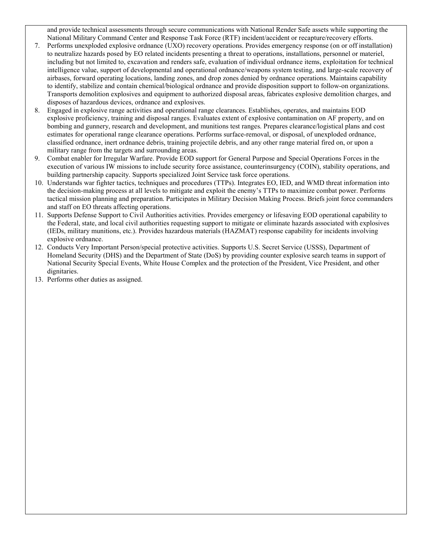and provide technical assessments through secure communications with National Render Safe assets while supporting the National Military Command Center and Response Task Force (RTF) incident/accident or recapture/recovery efforts.

- 7. Performs unexploded explosive ordnance (UXO) recovery operations. Provides emergency response (on or off installation) to neutralize hazards posed by EO related incidents presenting a threat to operations, installations, personnel or materiel, including but not limited to, excavation and renders safe, evaluation of individual ordnance items, exploitation for technical intelligence value, support of developmental and operational ordnance/weapons system testing, and large-scale recovery of airbases, forward operating locations, landing zones, and drop zones denied by ordnance operations. Maintains capability to identify, stabilize and contain chemical/biological ordnance and provide disposition support to follow-on organizations. Transports demolition explosives and equipment to authorized disposal areas, fabricates explosive demolition charges, and disposes of hazardous devices, ordnance and explosives.
- 8. Engaged in explosive range activities and operational range clearances. Establishes, operates, and maintains EOD explosive proficiency, training and disposal ranges. Evaluates extent of explosive contamination on AF property, and on bombing and gunnery, research and development, and munitions test ranges. Prepares clearance/logistical plans and cost estimates for operational range clearance operations. Performs surface-removal, or disposal, of unexploded ordnance, classified ordnance, inert ordnance debris, training projectile debris, and any other range material fired on, or upon a military range from the targets and surrounding areas.
- 9. Combat enabler for Irregular Warfare. Provide EOD support for General Purpose and Special Operations Forces in the execution of various IW missions to include security force assistance, counterinsurgency (COIN), stability operations, and building partnership capacity. Supports specialized Joint Service task force operations.
- 10. Understands war fighter tactics, techniques and procedures (TTPs). Integrates EO, IED, and WMD threat information into the decision-making process at all levels to mitigate and exploit the enemy's TTPs to maximize combat power. Performs tactical mission planning and preparation. Participates in Military Decision Making Process. Briefs joint force commanders and staff on EO threats affecting operations.
- 11. Supports Defense Support to Civil Authorities activities. Provides emergency or lifesaving EOD operational capability to the Federal, state, and local civil authorities requesting support to mitigate or eliminate hazards associated with explosives (IEDs, military munitions, etc.). Provides hazardous materials (HAZMAT) response capability for incidents involving explosive ordnance.
- 12. Conducts Very Important Person/special protective activities. Supports U.S. Secret Service (USSS), Department of Homeland Security (DHS) and the Department of State (DoS) by providing counter explosive search teams in support of National Security Special Events, White House Complex and the protection of the President, Vice President, and other dignitaries.
- 13. Performs other duties as assigned.